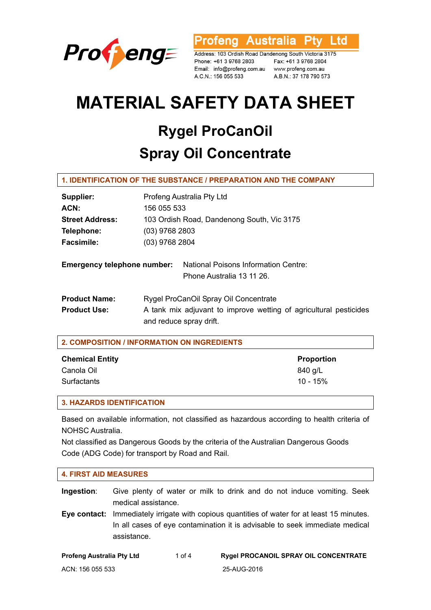

'rofeng Australia Ptv l td

Address: 103 Ordish Road Dandenong South Victoria 3175 Phone: +61 3 9768 2803 Email: info@profeng.com.au www.profeng.com.au A.C.N.: 156 055 533

Fax: +61 3 9768 2804 A.B.N.: 37 178 790 573

# **MATERIAL SAFETY DATA SHEET**

# **Rygel ProCanOil Spray Oil Concentrate**

# **1. IDENTIFICATION OF THE SUBSTANCE / PREPARATION AND THE COMPANY**

| Supplier:                                   | Profeng Australia Pty Ltd                                                                                                             |  |  |
|---------------------------------------------|---------------------------------------------------------------------------------------------------------------------------------------|--|--|
| ACN:                                        | 156 055 533                                                                                                                           |  |  |
| <b>Street Address:</b>                      | 103 Ordish Road, Dandenong South, Vic 3175                                                                                            |  |  |
| Telephone:                                  | $(03)$ 9768 2803                                                                                                                      |  |  |
| <b>Facsimile:</b>                           | (03) 9768 2804                                                                                                                        |  |  |
| <b>Emergency telephone number:</b>          | <b>National Poisons Information Centre:</b><br>Phone Australia 13 11 26.                                                              |  |  |
| <b>Product Name:</b><br><b>Product Use:</b> | Rygel ProCanOil Spray Oil Concentrate<br>A tank mix adjuvant to improve wetting of agricultural pesticides<br>and reduce spray drift. |  |  |

| 2. COMPOSITION / INFORMATION ON INGREDIENTS |                   |  |
|---------------------------------------------|-------------------|--|
| <b>Chemical Entity</b>                      | <b>Proportion</b> |  |
| Canola Oil                                  | 840 g/L           |  |
| <b>Surfactants</b>                          | 10 - 15%          |  |

#### **3. HAZARDS IDENTIFICATION**

Based on available information, not classified as hazardous according to health criteria of NOHSC Australia.

Not classified as Dangerous Goods by the criteria of the Australian Dangerous Goods Code (ADG Code) for transport by Road and Rail.

| <b>4. FIRST AID MEASURES</b>     |                                                                                                                                                                              |          |                                                                        |
|----------------------------------|------------------------------------------------------------------------------------------------------------------------------------------------------------------------------|----------|------------------------------------------------------------------------|
| Ingestion:                       | medical assistance.                                                                                                                                                          |          | Give plenty of water or milk to drink and do not induce vomiting. Seek |
| Eve contact:                     | Immediately irrigate with copious quantities of water for at least 15 minutes.<br>In all cases of eye contamination it is advisable to seek immediate medical<br>assistance. |          |                                                                        |
| <b>Profeng Australia Pty Ltd</b> |                                                                                                                                                                              | 1 of $4$ | <b>Rygel PROCANOIL SPRAY OIL CONCENTRATE</b>                           |
| ACN: 156 055 533                 |                                                                                                                                                                              |          | 25-AUG-2016                                                            |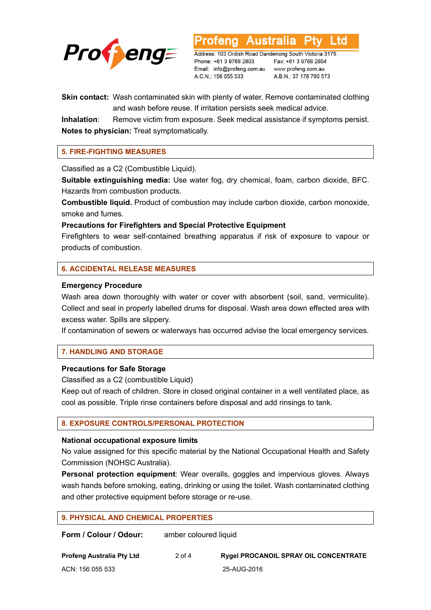

Address: 103 Ordish Road Dandenong South Victoria 3175 Phone: +61 3 9768 2803 Email: info@profeng.com.au www.profeng.com.au

Australia

Fax: +61 3 9768 2804 A.B.N.: 37 178 790 573

l to

**Skin contact:** Wash contaminated skin with plenty of water. Remove contaminated clothing and wash before reuse. If irritation persists seek medical advice.

A.C.N.: 156 055 533

**Inhalation**: Remove victim from exposure. Seek medical assistance if symptoms persist. **Notes to physician:** Treat symptomatically.

# **5. FIRE-FIGHTING MEASURES**

Classified as a C2 (Combustible Liquid).

**Suitable extinguishing media:** Use water fog, dry chemical, foam, carbon dioxide, BFC. Hazards from combustion products.

**Combustible liquid.** Product of combustion may include carbon dioxide, carbon monoxide, smoke and fumes.

**Precautions for Firefighters and Special Protective Equipment** 

Firefighters to wear self-contained breathing apparatus if risk of exposure to vapour or products of combustion.

# **6. ACCIDENTAL RELEASE MEASURES**

#### **Emergency Procedure**

Wash area down thoroughly with water or cover with absorbent (soil, sand, vermiculite). Collect and seal in properly labelled drums for disposal. Wash area down effected area with excess water. Spills are slippery.

If contamination of sewers or waterways has occurred advise the local emergency services.

# **7. HANDLING AND STORAGE**

# **Precautions for Safe Storage**

Classified as a C2 (combustible Liquid)

Keep out of reach of children. Store in closed original container in a well ventilated place, as cool as possible. Triple rinse containers before disposal and add rinsings to tank.

# **8. EXPOSURE CONTROLS/PERSONAL PROTECTION**

#### **National occupational exposure limits**

No value assigned for this specific material by the National Occupational Health and Safety Commission (NOHSC Australia).

**Personal protection equipment**: Wear overalls, goggles and impervious gloves. Always wash hands before smoking, eating, drinking or using the toilet. Wash contaminated clothing and other protective equipment before storage or re-use.

| <b>9. PHYSICAL AND CHEMICAL PROPERTIES</b> |                       |                                              |  |  |
|--------------------------------------------|-----------------------|----------------------------------------------|--|--|
| Form / Colour / Odour:                     | amber coloured liquid |                                              |  |  |
| <b>Profeng Australia Pty Ltd</b>           | $2$ of 4              | <b>Rygel PROCANOIL SPRAY OIL CONCENTRATE</b> |  |  |

ACN: 156 055 533 25-AUG-2016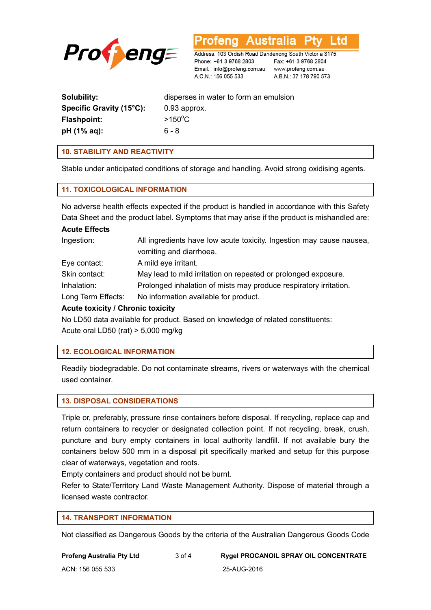

**Australia** L to

Address: 103 Ordish Road Dandenong South Victoria 3175 Phone: +61 3 9768 2803 Email: info@profeng.com.au www.profeng.com.au A.C.N.: 156 055 533

Fax: +61 3 9768 2804 A.B.N.: 37 178 790 573

| Solubility:              | disperses in water to form an emulsion |
|--------------------------|----------------------------------------|
| Specific Gravity (15°C): | $0.93$ approx.                         |
| Flashpoint:              | $>150^{\circ}$ C                       |
| pH (1% aq):              | ճ - ጸ                                  |
|                          |                                        |

#### **10. STABILITY AND REACTIVITY**

Stable under anticipated conditions of storage and handling. Avoid strong oxidising agents.

#### **11. TOXICOLOGICAL INFORMATION**

No adverse health effects expected if the product is handled in accordance with this Safety Data Sheet and the product label. Symptoms that may arise if the product is mishandled are:

# **Acute Effects**

| Ingestion:                        | All ingredients have low acute toxicity. Ingestion may cause nausea, |  |  |
|-----------------------------------|----------------------------------------------------------------------|--|--|
|                                   | vomiting and diarrhoea.                                              |  |  |
| Eye contact:                      | A mild eye irritant.                                                 |  |  |
| Skin contact:                     | May lead to mild irritation on repeated or prolonged exposure.       |  |  |
| Inhalation:                       | Prolonged inhalation of mists may produce respiratory irritation.    |  |  |
| Long Term Effects:                | No information available for product.                                |  |  |
| Acute toxicity / Chronic toxicity |                                                                      |  |  |

#### **Acute toxicity / Chronic toxicity**

No LD50 data available for product. Based on knowledge of related constituents: Acute oral LD50 (rat) > 5,000 mg/kg

# **12. ECOLOGICAL INFORMATION**

Readily biodegradable. Do not contaminate streams, rivers or waterways with the chemical used container.

#### **13. DISPOSAL CONSIDERATIONS**

Triple or, preferably, pressure rinse containers before disposal. If recycling, replace cap and return containers to recycler or designated collection point. If not recycling, break, crush, puncture and bury empty containers in local authority landfill. If not available bury the containers below 500 mm in a disposal pit specifically marked and setup for this purpose clear of waterways, vegetation and roots.

Empty containers and product should not be burnt.

Refer to State/Territory Land Waste Management Authority. Dispose of material through a licensed waste contractor.

#### **14. TRANSPORT INFORMATION**

Not classified as Dangerous Goods by the criteria of the Australian Dangerous Goods Code